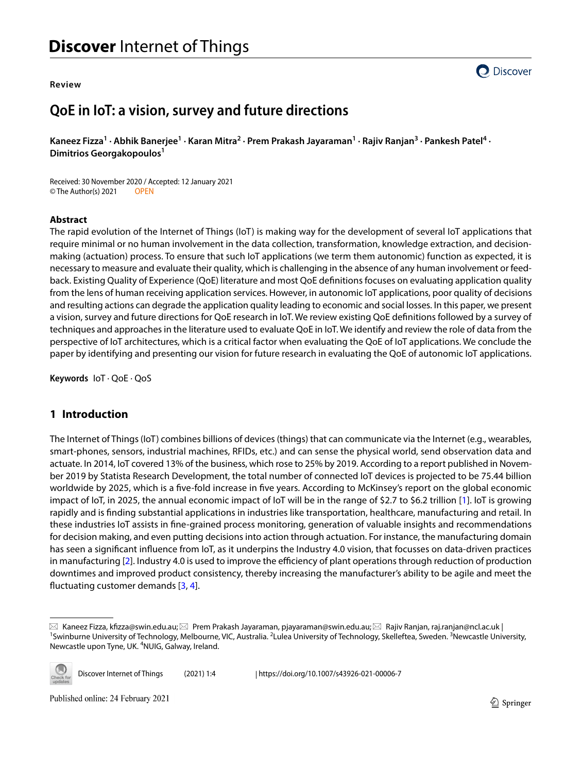#### **Review**



# **QoE in IoT: a vision, survey and future directions**

Kaneez Fizza<sup>1</sup> • Abhik Banerjee<sup>1</sup> • Karan Mitra<sup>2</sup> • Prem Prakash Jayaraman<sup>1</sup> • Rajiv Ranjan<sup>3</sup> • Pankesh Patel<sup>4</sup> • **Dimitrios Georgakopoulos1**

Received: 30 November 2020 / Accepted: 12 January 2021 © The Author(s) 2021 OPEN

#### **Abstract**

The rapid evolution of the Internet of Things (IoT) is making way for the development of several IoT applications that require minimal or no human involvement in the data collection, transformation, knowledge extraction, and decisionmaking (actuation) process. To ensure that such IoT applications (we term them autonomic) function as expected, it is necessary to measure and evaluate their quality, which is challenging in the absence of any human involvement or feedback. Existing Quality of Experience (QoE) literature and most QoE defnitions focuses on evaluating application quality from the lens of human receiving application services. However, in autonomic IoT applications, poor quality of decisions and resulting actions can degrade the application quality leading to economic and social losses. In this paper, we present a vision, survey and future directions for QoE research in IoT. We review existing QoE defnitions followed by a survey of techniques and approaches in the literature used to evaluate QoE in IoT. We identify and review the role of data from the perspective of IoT architectures, which is a critical factor when evaluating the QoE of IoT applications. We conclude the paper by identifying and presenting our vision for future research in evaluating the QoE of autonomic IoT applications.

**Keywords** IoT · QoE · QoS

# <span id="page-0-0"></span>**1 Introduction**

The Internet of Things (IoT) combines billions of devices (things) that can communicate via the Internet (e.g., wearables, smart-phones, sensors, industrial machines, RFIDs, etc.) and can sense the physical world, send observation data and actuate. In 2014, IoT covered 13% of the business, which rose to 25% by 2019. According to a report published in November 2019 by Statista Research Development, the total number of connected IoT devices is projected to be 75.44 billion worldwide by 2025, which is a fve-fold increase in fve years. According to McKinsey's report on the global economic impact of IoT, in 2025, the annual economic impact of IoT will be in the range of \$2.7 to \$6.2 trillion [[1\]](#page-12-0). IoT is growing rapidly and is fnding substantial applications in industries like transportation, healthcare, manufacturing and retail. In these industries IoT assists in fne-grained process monitoring, generation of valuable insights and recommendations for decision making, and even putting decisions into action through actuation. For instance, the manufacturing domain has seen a signifcant infuence from IoT, as it underpins the Industry 4.0 vision, that focusses on data-driven practices in manufacturing [\[2](#page-12-1)]. Industry 4.0 is used to improve the efficiency of plant operations through reduction of production downtimes and improved product consistency, thereby increasing the manufacturer's ability to be agile and meet the fuctuating customer demands [\[3](#page-12-2), [4\]](#page-12-3).

 $\boxtimes$  Kaneez Fizza, kfizza@swin.edu.au; $\boxtimes$  Prem Prakash Jayaraman, pjayaraman@swin.edu.au; $\boxtimes$  Rajiv Ranjan, raj.ranjan@ncl.ac.uk | Swinburne University of Technology, Melbourne, VIC, Australia. <sup>2</sup>Lulea University of Technology, Skelleftea, Sweden. <sup>3</sup>Newcastle University, Newcastle upon Tyne, UK. <sup>4</sup>NUIG, Galway, Ireland.



Discover Internet of Things (2021) 1:4 | https://doi.org/10.1007/s43926-021-00006-7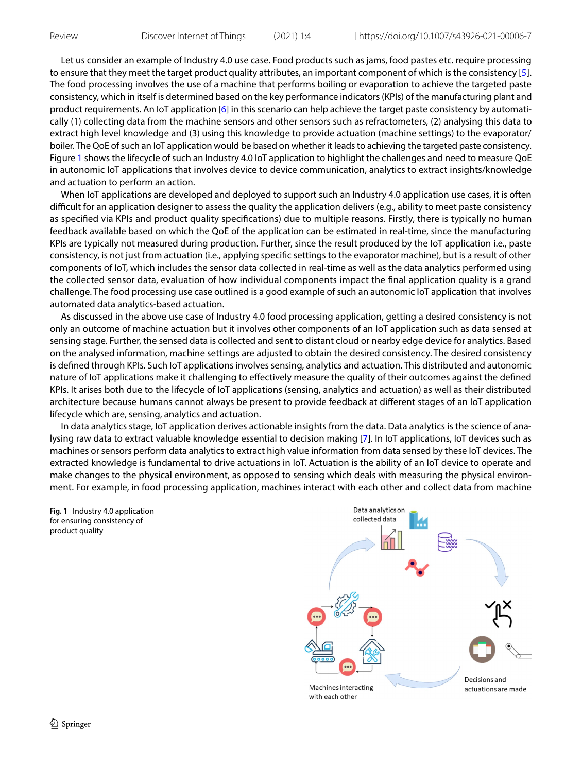Let us consider an example of Industry 4.0 use case. Food products such as jams, food pastes etc. require processing to ensure that they meet the target product quality attributes, an important component of which is the consistency [[5](#page-12-4)]. The food processing involves the use of a machine that performs boiling or evaporation to achieve the targeted paste consistency, which in itself is determined based on the key performance indicators (KPIs) of the manufacturing plant and product requirements. An IoT application [[6\]](#page-12-5) in this scenario can help achieve the target paste consistency by automatically (1) collecting data from the machine sensors and other sensors such as refractometers, (2) analysing this data to extract high level knowledge and (3) using this knowledge to provide actuation (machine settings) to the evaporator/ boiler. The QoE of such an IoT application would be based on whether it leads to achieving the targeted paste consistency. Figure [1](#page-1-0) shows the lifecycle of such an Industry 4.0 IoT application to highlight the challenges and need to measure QoE in autonomic IoT applications that involves device to device communication, analytics to extract insights/knowledge and actuation to perform an action.

When IoT applications are developed and deployed to support such an Industry 4.0 application use cases, it is often difcult for an application designer to assess the quality the application delivers (e.g., ability to meet paste consistency as specifed via KPIs and product quality specifcations) due to multiple reasons. Firstly, there is typically no human feedback available based on which the QoE of the application can be estimated in real-time, since the manufacturing KPIs are typically not measured during production. Further, since the result produced by the IoT application i.e., paste consistency, is not just from actuation (i.e., applying specifc settings to the evaporator machine), but is a result of other components of IoT, which includes the sensor data collected in real-time as well as the data analytics performed using the collected sensor data, evaluation of how individual components impact the fnal application quality is a grand challenge. The food processing use case outlined is a good example of such an autonomic IoT application that involves automated data analytics-based actuation.

As discussed in the above use case of Industry 4.0 food processing application, getting a desired consistency is not only an outcome of machine actuation but it involves other components of an IoT application such as data sensed at sensing stage. Further, the sensed data is collected and sent to distant cloud or nearby edge device for analytics. Based on the analysed information, machine settings are adjusted to obtain the desired consistency. The desired consistency is defned through KPIs. Such IoT applications involves sensing, analytics and actuation. This distributed and autonomic nature of IoT applications make it challenging to efectively measure the quality of their outcomes against the defned KPIs. It arises both due to the lifecycle of IoT applications (sensing, analytics and actuation) as well as their distributed architecture because humans cannot always be present to provide feedback at diferent stages of an IoT application lifecycle which are, sensing, analytics and actuation.

In data analytics stage, IoT application derives actionable insights from the data. Data analytics is the science of analysing raw data to extract valuable knowledge essential to decision making [\[7\]](#page-12-6). In IoT applications, IoT devices such as machines or sensors perform data analytics to extract high value information from data sensed by these IoT devices. The extracted knowledge is fundamental to drive actuations in IoT. Actuation is the ability of an IoT device to operate and make changes to the physical environment, as opposed to sensing which deals with measuring the physical environment. For example, in food processing application, machines interact with each other and collect data from machine

<span id="page-1-0"></span>**Fig. 1** Industry 4.0 application for ensuring consistency of product quality

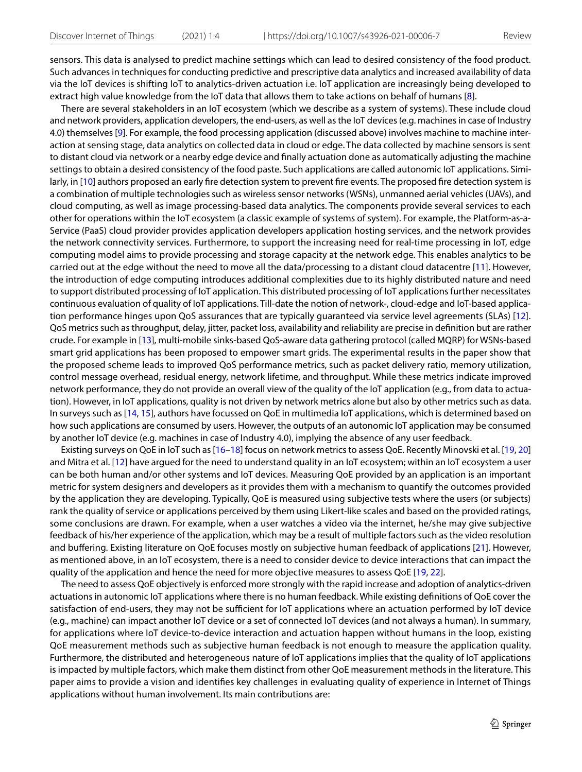sensors. This data is analysed to predict machine settings which can lead to desired consistency of the food product. Such advances in techniques for conducting predictive and prescriptive data analytics and increased availability of data via the IoT devices is shifting IoT to analytics-driven actuation i.e. IoT application are increasingly being developed to extract high value knowledge from the IoT data that allows them to take actions on behalf of humans [[8](#page-12-7)].

There are several stakeholders in an IoT ecosystem (which we describe as a system of systems). These include cloud and network providers, application developers, the end-users, as well as the IoT devices (e.g. machines in case of Industry 4.0) themselves [[9\]](#page-12-8). For example, the food processing application (discussed above) involves machine to machine interaction at sensing stage, data analytics on collected data in cloud or edge. The data collected by machine sensors is sent to distant cloud via network or a nearby edge device and fnally actuation done as automatically adjusting the machine settings to obtain a desired consistency of the food paste. Such applications are called autonomic IoT applications. Simi-larly, in [[10](#page-12-9)] authors proposed an early fire detection system to prevent fire events. The proposed fire detection system is a combination of multiple technologies such as wireless sensor networks (WSNs), unmanned aerial vehicles (UAVs), and cloud computing, as well as image processing-based data analytics. The components provide several services to each other for operations within the IoT ecosystem (a classic example of systems of system). For example, the Platform-as-a-Service (PaaS) cloud provider provides application developers application hosting services, and the network provides the network connectivity services. Furthermore, to support the increasing need for real-time processing in IoT, edge computing model aims to provide processing and storage capacity at the network edge. This enables analytics to be carried out at the edge without the need to move all the data/processing to a distant cloud datacentre [[11\]](#page-12-10). However, the introduction of edge computing introduces additional complexities due to its highly distributed nature and need to support distributed processing of IoT application. This distributed processing of IoT applications further necessitates continuous evaluation of quality of IoT applications. Till-date the notion of network-, cloud-edge and IoT-based application performance hinges upon QoS assurances that are typically guaranteed via service level agreements (SLAs) [[12\]](#page-12-11). QoS metrics such as throughput, delay, jitter, packet loss, availability and reliability are precise in defnition but are rather crude. For example in [[13](#page-12-12)], multi-mobile sinks-based QoS-aware data gathering protocol (called MQRP) for WSNs-based smart grid applications has been proposed to empower smart grids. The experimental results in the paper show that the proposed scheme leads to improved QoS performance metrics, such as packet delivery ratio, memory utilization, control message overhead, residual energy, network lifetime, and throughput. While these metrics indicate improved network performance, they do not provide an overall view of the quality of the IoT application (e.g., from data to actuation). However, in IoT applications, quality is not driven by network metrics alone but also by other metrics such as data. In surveys such as [[14](#page-12-13), [15](#page-12-14)], authors have focussed on QoE in multimedia IoT applications, which is determined based on how such applications are consumed by users. However, the outputs of an autonomic IoT application may be consumed by another IoT device (e.g. machines in case of Industry 4.0), implying the absence of any user feedback.

Existing surveys on QoE in IoT such as [[16–](#page-12-15)[18](#page-12-16)] focus on network metrics to assess QoE. Recently Minovski et al. [\[19,](#page-12-17) [20\]](#page-12-18) and Mitra et al. [\[12\]](#page-12-11) have argued for the need to understand quality in an IoT ecosystem; within an IoT ecosystem a user can be both human and/or other systems and IoT devices. Measuring QoE provided by an application is an important metric for system designers and developers as it provides them with a mechanism to quantify the outcomes provided by the application they are developing. Typically, QoE is measured using subjective tests where the users (or subjects) rank the quality of service or applications perceived by them using Likert-like scales and based on the provided ratings, some conclusions are drawn. For example, when a user watches a video via the internet, he/she may give subjective feedback of his/her experience of the application, which may be a result of multiple factors such as the video resolution and buffering. Existing literature on QoE focuses mostly on subjective human feedback of applications [[21](#page-12-19)]. However, as mentioned above, in an IoT ecosystem, there is a need to consider device to device interactions that can impact the quality of the application and hence the need for more objective measures to assess QoE [[19](#page-12-17), [22\]](#page-12-20).

The need to assess QoE objectively is enforced more strongly with the rapid increase and adoption of analytics-driven actuations in autonomic IoT applications where there is no human feedback. While existing defnitions of QoE cover the satisfaction of end-users, they may not be sufficient for IoT applications where an actuation performed by IoT device (e.g., machine) can impact another IoT device or a set of connected IoT devices (and not always a human). In summary, for applications where IoT device-to-device interaction and actuation happen without humans in the loop, existing QoE measurement methods such as subjective human feedback is not enough to measure the application quality. Furthermore, the distributed and heterogeneous nature of IoT applications implies that the quality of IoT applications is impacted by multiple factors, which make them distinct from other QoE measurement methods in the literature. This paper aims to provide a vision and identifes key challenges in evaluating quality of experience in Internet of Things applications without human involvement. Its main contributions are: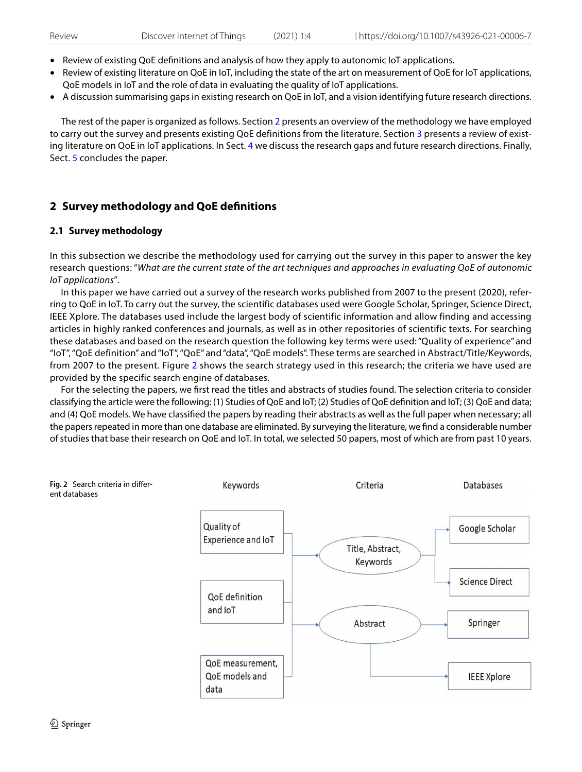- Review of existing QoE defnitions and analysis of how they apply to autonomic IoT applications.
- Review of existing literature on QoE in IoT, including the state of the art on measurement of QoE for IoT applications, QoE models in IoT and the role of data in evaluating the quality of IoT applications.
- A discussion summarising gaps in existing research on QoE in IoT, and a vision identifying future research directions.

The rest of the paper is organized as follows. Section [2](#page-3-0) presents an overview of the methodology we have employed to carry out the survey and presents existing QoE definitions from the literature. Section [3](#page-5-0) presents a review of existing literature on QoE in IoT applications. In Sect. [4](#page-8-0) we discuss the research gaps and future research directions. Finally, Sect. [5](#page-11-0) concludes the paper.

# <span id="page-3-0"></span>**2 Survey methodology and QoE defnitions**

# <span id="page-3-2"></span>**2.1 Survey methodology**

In this subsection we describe the methodology used for carrying out the survey in this paper to answer the key research questions: "*What are the current state of the art techniques and approaches in evaluating QoE of autonomic IoT applications*"*.*

In this paper we have carried out a survey of the research works published from 2007 to the present (2020), referring to QoE in IoT. To carry out the survey, the scientific databases used were Google Scholar, Springer, Science Direct, IEEE Xplore. The databases used include the largest body of scientific information and allow finding and accessing articles in highly ranked conferences and journals, as well as in other repositories of scientific texts. For searching these databases and based on the research question the following key terms were used: "Quality of experience" and "IoT", "QoE definition" and "IoT", "QoE" and "data", "QoE models". These terms are searched in Abstract/Title/Keywords, from 2007 to the present. Figure [2](#page-3-1) shows the search strategy used in this research; the criteria we have used are provided by the specific search engine of databases.

For the selecting the papers, we frst read the titles and abstracts of studies found. The selection criteria to consider classifying the article were the following: (1) Studies of QoE and IoT; (2) Studies of QoE defnition and IoT; (3) QoE and data; and (4) QoE models. We have classifed the papers by reading their abstracts as well as the full paper when necessary; all the papers repeated in more than one database are eliminated. By surveying the literature, we fnd a considerable number of studies that base their research on QoE and IoT. In total, we selected 50 papers, most of which are from past 10 years.

<span id="page-3-1"></span>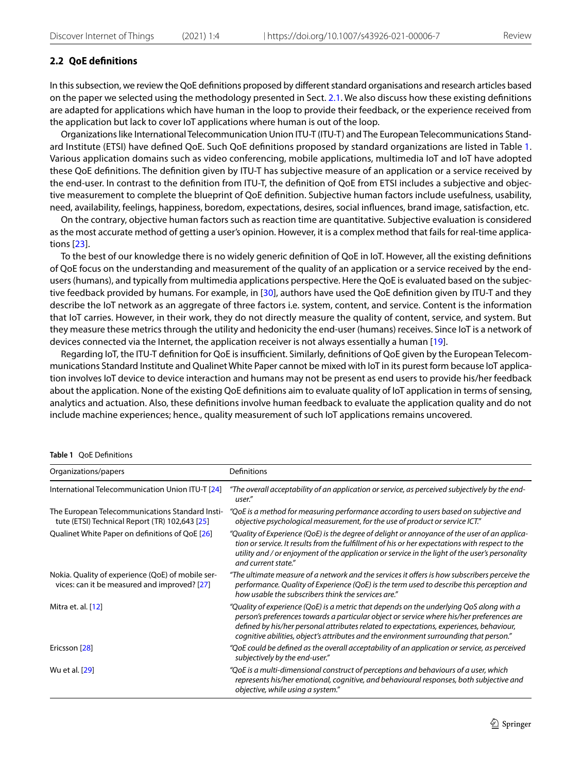## **2.2 QoE defnitions**

In this subsection, we review the QoE defnitions proposed by diferent standard organisations and research articles based on the paper we selected using the methodology presented in Sect. [2.1.](#page-3-2) We also discuss how these existing defnitions are adapted for applications which have human in the loop to provide their feedback, or the experience received from the application but lack to cover IoT applications where human is out of the loop.

Organizations like International Telecommunication Union ITU-T (ITU-T) and The European Telecommunications Standard Institute (ETSI) have defned QoE. Such QoE defnitions proposed by standard organizations are listed in Table [1](#page-4-0). Various application domains such as video conferencing, mobile applications, multimedia IoT and IoT have adopted these QoE defnitions. The defnition given by ITU-T has subjective measure of an application or a service received by the end-user. In contrast to the defnition from ITU-T, the defnition of QoE from ETSI includes a subjective and objective measurement to complete the blueprint of QoE defnition. Subjective human factors include usefulness, usability, need, availability, feelings, happiness, boredom, expectations, desires, social infuences, brand image, satisfaction, etc.

On the contrary, objective human factors such as reaction time are quantitative. Subjective evaluation is considered as the most accurate method of getting a user's opinion. However, it is a complex method that fails for real-time applications [[23](#page-12-21)].

To the best of our knowledge there is no widely generic defnition of QoE in IoT. However, all the existing defnitions of QoE focus on the understanding and measurement of the quality of an application or a service received by the endusers (humans), and typically from multimedia applications perspective. Here the QoE is evaluated based on the subjective feedback provided by humans. For example, in [[30\]](#page-12-22), authors have used the QoE defnition given by ITU-T and they describe the IoT network as an aggregate of three factors i.e. system, content, and service. Content is the information that IoT carries. However, in their work, they do not directly measure the quality of content, service, and system. But they measure these metrics through the utility and hedonicity the end-user (humans) receives. Since IoT is a network of devices connected via the Internet, the application receiver is not always essentially a human [\[19\]](#page-12-17).

Regarding IoT, the ITU-T definition for QoE is insufficient. Similarly, definitions of QoE given by the European Telecommunications Standard Institute and Qualinet White Paper cannot be mixed with IoT in its purest form because IoT application involves IoT device to device interaction and humans may not be present as end users to provide his/her feedback about the application. None of the existing QoE defnitions aim to evaluate quality of IoT application in terms of sensing, analytics and actuation. Also, these defnitions involve human feedback to evaluate the application quality and do not include machine experiences; hence., quality measurement of such IoT applications remains uncovered.

#### <span id="page-4-0"></span>**Table 1** QoE Defnitions

| Organizations/papers                                                                              | Definitions                                                                                                                                                                                                                                                                                                                                                                |
|---------------------------------------------------------------------------------------------------|----------------------------------------------------------------------------------------------------------------------------------------------------------------------------------------------------------------------------------------------------------------------------------------------------------------------------------------------------------------------------|
| International Telecommunication Union ITU-T [24]                                                  | "The overall acceptability of an application or service, as perceived subjectively by the end-<br>user."                                                                                                                                                                                                                                                                   |
| The European Telecommunications Standard Insti-<br>tute (ETSI) Technical Report (TR) 102,643 [25] | "QoE is a method for measuring performance according to users based on subjective and<br>objective psychological measurement, for the use of product or service ICT."                                                                                                                                                                                                      |
| Qualinet White Paper on definitions of QoE [26]                                                   | "Quality of Experience (QoE) is the degree of delight or annoyance of the user of an applica-<br>tion or service. It results from the fulfillment of his or her expectations with respect to the<br>utility and / or enjoyment of the application or service in the light of the user's personality<br>and current state."                                                 |
| Nokia. Quality of experience (QoE) of mobile ser-<br>vices: can it be measured and improved? [27] | "The ultimate measure of a network and the services it offers is how subscribers perceive the<br>performance. Quality of Experience (QoE) is the term used to describe this perception and<br>how usable the subscribers think the services are."                                                                                                                          |
| Mitra et. al. [12]                                                                                | "Quality of experience (QoE) is a metric that depends on the underlying QoS along with a<br>person's preferences towards a particular object or service where his/her preferences are<br>defined by his/her personal attributes related to expectations, experiences, behaviour,<br>cognitive abilities, object's attributes and the environment surrounding that person." |
| Ericsson [28]                                                                                     | "QoE could be defined as the overall acceptability of an application or service, as perceived<br>subjectively by the end-user."                                                                                                                                                                                                                                            |
| Wu et al. [29]                                                                                    | "QoE is a multi-dimensional construct of perceptions and behaviours of a user, which<br>represents his/her emotional, cognitive, and behavioural responses, both subjective and<br>objective, while using a system."                                                                                                                                                       |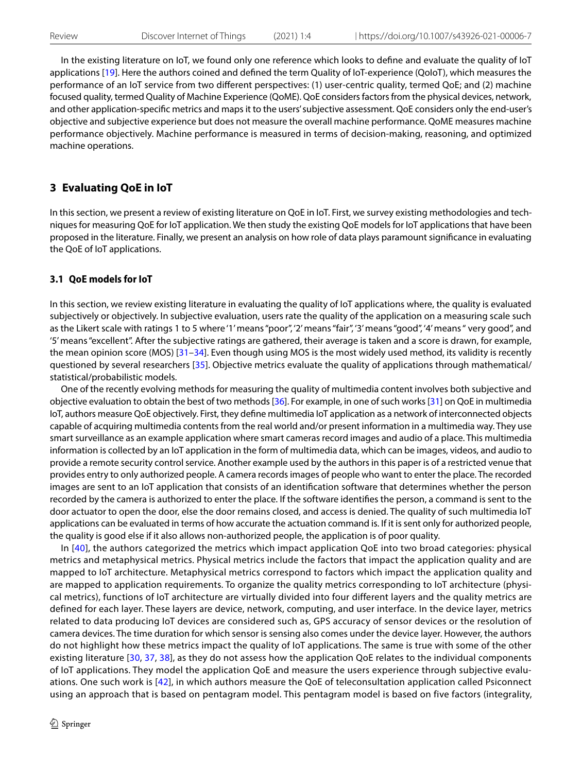In the existing literature on IoT, we found only one reference which looks to defne and evaluate the quality of IoT applications [\[19\]](#page-12-17). Here the authors coined and defined the term Quality of IoT-experience (QoIoT), which measures the performance of an IoT service from two diferent perspectives: (1) user-centric quality, termed QoE; and (2) machine focused quality, termed Quality of Machine Experience (QoME). QoE considers factors from the physical devices, network, and other application-specifc metrics and maps it to the users' subjective assessment. QoE considers only the end-user's objective and subjective experience but does not measure the overall machine performance. QoME measures machine performance objectively. Machine performance is measured in terms of decision-making, reasoning, and optimized machine operations.

# <span id="page-5-0"></span>**3 Evaluating QoE in IoT**

In this section, we present a review of existing literature on QoE in IoT. First, we survey existing methodologies and techniques for measuring QoE for IoT application. We then study the existing QoE models for IoT applications that have been proposed in the literature. Finally, we present an analysis on how role of data plays paramount signifcance in evaluating the QoE of IoT applications.

#### **3.1 QoE models for IoT**

In this section, we review existing literature in evaluating the quality of IoT applications where, the quality is evaluated subjectively or objectively. In subjective evaluation, users rate the quality of the application on a measuring scale such as the Likert scale with ratings 1 to 5 where '1' means "poor", '2' means "fair", '3' means "good", '4' means " very good", and '5' means "excellent". After the subjective ratings are gathered, their average is taken and a score is drawn, for example, the mean opinion score (MOS) [\[31–](#page-12-29)[34\]](#page-13-0). Even though using MOS is the most widely used method, its validity is recently questioned by several researchers [[35](#page-13-1)]. Objective metrics evaluate the quality of applications through mathematical/ statistical/probabilistic models.

One of the recently evolving methods for measuring the quality of multimedia content involves both subjective and objective evaluation to obtain the best of two methods [\[36](#page-13-2)]. For example, in one of such works [\[31](#page-12-29)] on QoE in multimedia IoT, authors measure QoE objectively. First, they defne multimedia IoT application as a network of interconnected objects capable of acquiring multimedia contents from the real world and/or present information in a multimedia way. They use smart surveillance as an example application where smart cameras record images and audio of a place. This multimedia information is collected by an IoT application in the form of multimedia data, which can be images, videos, and audio to provide a remote security control service. Another example used by the authors in this paper is of a restricted venue that provides entry to only authorized people. A camera records images of people who want to enter the place. The recorded images are sent to an IoT application that consists of an identifcation software that determines whether the person recorded by the camera is authorized to enter the place. If the software identifes the person, a command is sent to the door actuator to open the door, else the door remains closed, and access is denied. The quality of such multimedia IoT applications can be evaluated in terms of how accurate the actuation command is. If it is sent only for authorized people, the quality is good else if it also allows non-authorized people, the application is of poor quality.

In [[40](#page-13-3)], the authors categorized the metrics which impact application QoE into two broad categories: physical metrics and metaphysical metrics. Physical metrics include the factors that impact the application quality and are mapped to IoT architecture. Metaphysical metrics correspond to factors which impact the application quality and are mapped to application requirements. To organize the quality metrics corresponding to IoT architecture (physical metrics), functions of IoT architecture are virtually divided into four different layers and the quality metrics are defined for each layer. These layers are device, network, computing, and user interface. In the device layer, metrics related to data producing IoT devices are considered such as, GPS accuracy of sensor devices or the resolution of camera devices. The time duration for which sensor is sensing also comes under the device layer. However, the authors do not highlight how these metrics impact the quality of IoT applications. The same is true with some of the other existing literature [[30](#page-12-22), [37,](#page-13-4) [38\]](#page-13-5), as they do not assess how the application QoE relates to the individual components of IoT applications. They model the application QoE and measure the users experience through subjective evaluations. One such work is [[42\]](#page-13-6), in which authors measure the QoE of teleconsultation application called Psiconnect using an approach that is based on pentagram model. This pentagram model is based on five factors (integrality,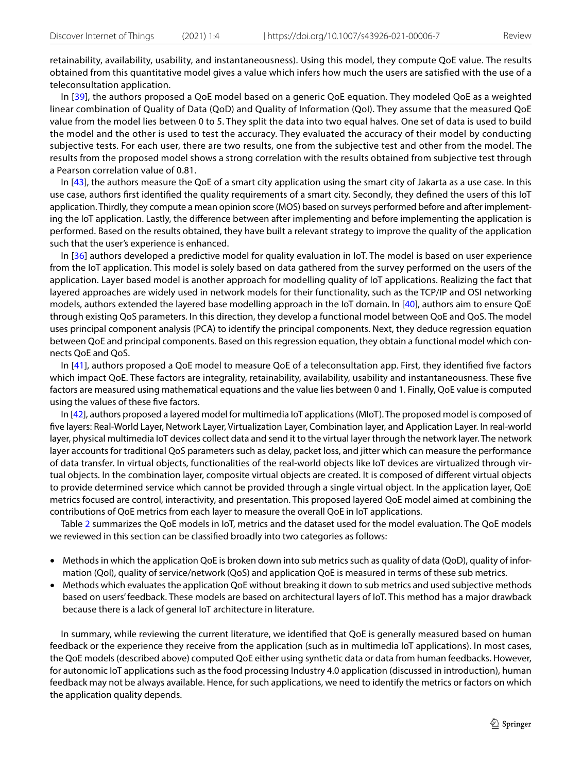retainability, availability, usability, and instantaneousness). Using this model, they compute QoE value. The results obtained from this quantitative model gives a value which infers how much the users are satisfied with the use of a teleconsultation application.

In [\[39\]](#page-13-7), the authors proposed a QoE model based on a generic QoE equation. They modeled QoE as a weighted linear combination of Quality of Data (QoD) and Quality of Information (QoI). They assume that the measured QoE value from the model lies between 0 to 5. They split the data into two equal halves. One set of data is used to build the model and the other is used to test the accuracy. They evaluated the accuracy of their model by conducting subjective tests. For each user, there are two results, one from the subjective test and other from the model. The results from the proposed model shows a strong correlation with the results obtained from subjective test through a Pearson correlation value of 0.81.

In [[43](#page-13-8)], the authors measure the QoE of a smart city application using the smart city of Jakarta as a use case. In this use case, authors frst identifed the quality requirements of a smart city. Secondly, they defned the users of this IoT application. Thirdly, they compute a mean opinion score (MOS) based on surveys performed before and after implementing the IoT application. Lastly, the diference between after implementing and before implementing the application is performed. Based on the results obtained, they have built a relevant strategy to improve the quality of the application such that the user's experience is enhanced.

In [[36](#page-13-2)] authors developed a predictive model for quality evaluation in IoT. The model is based on user experience from the IoT application. This model is solely based on data gathered from the survey performed on the users of the application. Layer based model is another approach for modelling quality of IoT applications. Realizing the fact that layered approaches are widely used in network models for their functionality, such as the TCP/IP and OSI networking models, authors extended the layered base modelling approach in the IoT domain. In [[40\]](#page-13-3), authors aim to ensure QoE through existing QoS parameters. In this direction, they develop a functional model between QoE and QoS. The model uses principal component analysis (PCA) to identify the principal components. Next, they deduce regression equation between QoE and principal components. Based on this regression equation, they obtain a functional model which connects QoE and QoS.

In [[41](#page-13-9)], authors proposed a QoE model to measure QoE of a teleconsultation app. First, they identifed fve factors which impact QoE. These factors are integrality, retainability, availability, usability and instantaneousness. These fve factors are measured using mathematical equations and the value lies between 0 and 1. Finally, QoE value is computed using the values of these five factors.

In [\[42](#page-13-6)], authors proposed a layered model for multimedia IoT applications (MIoT). The proposed model is composed of fve layers: Real-World Layer, Network Layer, Virtualization Layer, Combination layer, and Application Layer. In real-world layer, physical multimedia IoT devices collect data and send it to the virtual layer through the network layer. The network layer accounts for traditional QoS parameters such as delay, packet loss, and jitter which can measure the performance of data transfer. In virtual objects, functionalities of the real-world objects like IoT devices are virtualized through virtual objects. In the combination layer, composite virtual objects are created. It is composed of diferent virtual objects to provide determined service which cannot be provided through a single virtual object. In the application layer, QoE metrics focused are control, interactivity, and presentation. This proposed layered QoE model aimed at combining the contributions of QoE metrics from each layer to measure the overall QoE in IoT applications.

Table [2](#page-7-0) summarizes the QoE models in IoT, metrics and the dataset used for the model evaluation. The QoE models we reviewed in this section can be classifed broadly into two categories as follows:

- Methods in which the application QoE is broken down into sub metrics such as quality of data (QoD), quality of information (QoI), quality of service/network (QoS) and application QoE is measured in terms of these sub metrics.
- Methods which evaluates the application QoE without breaking it down to sub metrics and used subjective methods based on users' feedback. These models are based on architectural layers of IoT. This method has a major drawback because there is a lack of general IoT architecture in literature.

In summary, while reviewing the current literature, we identifed that QoE is generally measured based on human feedback or the experience they receive from the application (such as in multimedia IoT applications). In most cases, the QoE models (described above) computed QoE either using synthetic data or data from human feedbacks. However, for autonomic IoT applications such as the food processing Industry 4.0 application (discussed in introduction), human feedback may not be always available. Hence, for such applications, we need to identify the metrics or factors on which the application quality depends.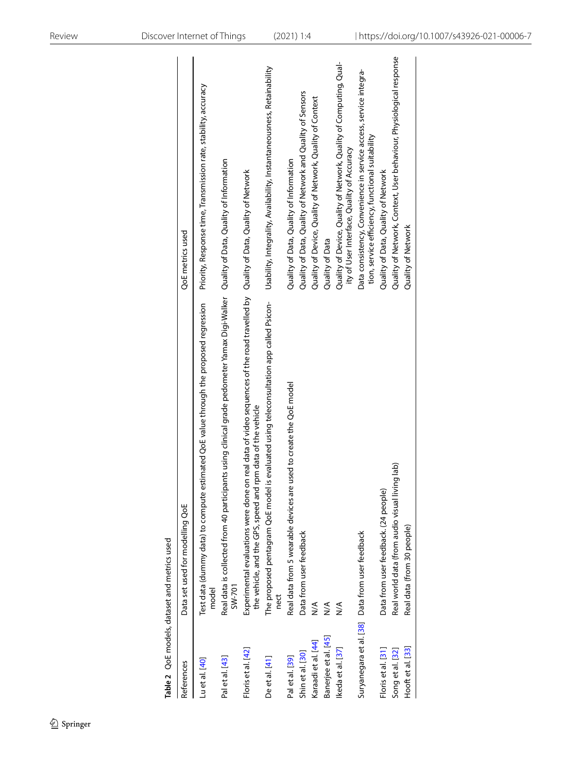|                      | Table 2 QoE models, dataset and metrics used                                                                                                                                                   |                                                                                                                       |
|----------------------|------------------------------------------------------------------------------------------------------------------------------------------------------------------------------------------------|-----------------------------------------------------------------------------------------------------------------------|
| References           | Data set used for modelling QoE                                                                                                                                                                | QoE metrics used                                                                                                      |
| Lu et al. [40]       | Test data (dummy data) to compute estimated QoE value through the proposed regression<br>model                                                                                                 | Priority, Response time, Transmission rate, stability, accuracy                                                       |
| Pal et al. [43]      | Real data is collected from 40 participants using clinical grade pedometer Yamax Digi-Walker Quality of Data, Quality of Information<br>SW-701                                                 |                                                                                                                       |
| Floris et al. [42]   | Experimental evaluations were done on real data of video sequences of the road travelled by Quality of Data, Quality of Network<br>the vehicle, and the GPS, speed and rpm data of the vehicle |                                                                                                                       |
| De et al. [41]       | is evaluated using teleconsultation app called Psicon-<br>The proposed pentagram QoE model<br>nect                                                                                             | Usability, Integrality, Availability, Instantaneousness, Retainability                                                |
| Pal et al. [39]      | Real data from 5 wearable devices are used to create the QoE model                                                                                                                             | Quality of Data, Quality of Information                                                                               |
| Shin et al. [30]     | Data from user feedback                                                                                                                                                                        | Quality of Data, Quality of Network and Quality of Sensors                                                            |
| Karaadi et al. [44]  | $\frac{1}{2}$                                                                                                                                                                                  | Quality of Device, Quality of Network, Quality of Context                                                             |
| Banerjee et al. [45] | $\frac{1}{2}$                                                                                                                                                                                  | Quality of Data                                                                                                       |
| Ikeda et al. [37]    | $\frac{1}{2}$                                                                                                                                                                                  | Quality of Device, Quality of Network, Quality of Computing, Qual-<br>ity of User Interface, Quality of Accuracy      |
|                      | Suryanegara et al. [38] Data from user feedback                                                                                                                                                | Data consistency, Convenience in service access, service integra-<br>tion, service efficiency, functional suitability |
| Floris et al. [31]   | Data from user feedback. (24 people)                                                                                                                                                           | Quality of Data, Quality of Network                                                                                   |
| Song et al. [32]     | Real world data (from audio visual living lab)                                                                                                                                                 | Quality of Network, Context, User behaviour, Physiological response                                                   |
| Hooft et al. [33]    | Real data (from 30 people)                                                                                                                                                                     | Quality of Network                                                                                                    |
|                      |                                                                                                                                                                                                |                                                                                                                       |

<span id="page-7-0"></span> $\bigcirc$  Springer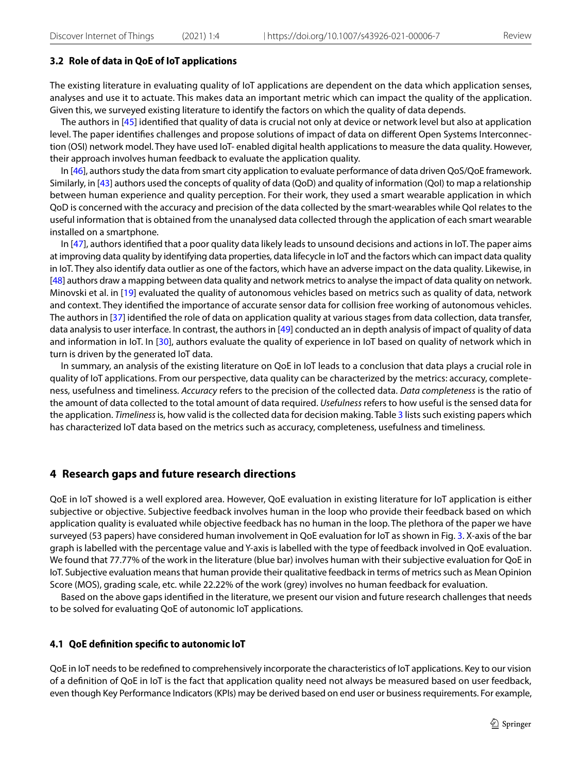#### **3.2 Role of data in QoE of IoT applications**

The existing literature in evaluating quality of IoT applications are dependent on the data which application senses, analyses and use it to actuate. This makes data an important metric which can impact the quality of the application. Given this, we surveyed existing literature to identify the factors on which the quality of data depends.

The authors in [\[45\]](#page-13-11) identifed that quality of data is crucial not only at device or network level but also at application level. The paper identifes challenges and propose solutions of impact of data on diferent Open Systems Interconnection (OSI) network model. They have used IoT- enabled digital health applications to measure the data quality. However, their approach involves human feedback to evaluate the application quality.

In [[46](#page-13-12)], authors study the data from smart city application to evaluate performance of data driven QoS/QoE framework. Similarly, in [\[43\]](#page-13-8) authors used the concepts of quality of data (QoD) and quality of information (QoI) to map a relationship between human experience and quality perception. For their work, they used a smart wearable application in which QoD is concerned with the accuracy and precision of the data collected by the smart-wearables while QoI relates to the useful information that is obtained from the unanalysed data collected through the application of each smart wearable installed on a smartphone.

In [\[47\]](#page-13-13), authors identified that a poor quality data likely leads to unsound decisions and actions in IoT. The paper aims at improving data quality by identifying data properties, data lifecycle in IoT and the factors which can impact data quality in IoT. They also identify data outlier as one of the factors, which have an adverse impact on the data quality. Likewise, in [[48\]](#page-13-14) authors draw a mapping between data quality and network metrics to analyse the impact of data quality on network. Minovski et al. in [\[19\]](#page-12-17) evaluated the quality of autonomous vehicles based on metrics such as quality of data, network and context. They identifed the importance of accurate sensor data for collision free working of autonomous vehicles. The authors in [\[37\]](#page-13-4) identifed the role of data on application quality at various stages from data collection, data transfer, data analysis to user interface. In contrast, the authors in [\[49\]](#page-13-15) conducted an in depth analysis of impact of quality of data and information in IoT. In [\[30\]](#page-12-22), authors evaluate the quality of experience in IoT based on quality of network which in turn is driven by the generated IoT data.

In summary, an analysis of the existing literature on QoE in IoT leads to a conclusion that data plays a crucial role in quality of IoT applications. From our perspective, data quality can be characterized by the metrics: accuracy, completeness, usefulness and timeliness. *Accuracy* refers to the precision of the collected data. *Data completeness* is the ratio of the amount of data collected to the total amount of data required. *Usefulness* refers to how useful is the sensed data for the application. *Timeliness* is, how valid is the collected data for decision making. Table [3](#page-9-0) lists such existing papers which has characterized IoT data based on the metrics such as accuracy, completeness, usefulness and timeliness.

## <span id="page-8-0"></span>**4 Research gaps and future research directions**

QoE in IoT showed is a well explored area. However, QoE evaluation in existing literature for IoT application is either subjective or objective. Subjective feedback involves human in the loop who provide their feedback based on which application quality is evaluated while objective feedback has no human in the loop. The plethora of the paper we have surveyed (53 papers) have considered human involvement in QoE evaluation for IoT as shown in Fig. [3](#page-10-0). X-axis of the bar graph is labelled with the percentage value and Y-axis is labelled with the type of feedback involved in QoE evaluation. We found that 77.77% of the work in the literature (blue bar) involves human with their subjective evaluation for QoE in IoT. Subjective evaluation means that human provide their qualitative feedback in terms of metrics such as Mean Opinion Score (MOS), grading scale, etc. while 22.22% of the work (grey) involves no human feedback for evaluation.

Based on the above gaps identifed in the literature, we present our vision and future research challenges that needs to be solved for evaluating QoE of autonomic IoT applications.

#### **4.1 QoE defnition specifc to autonomic IoT**

QoE in IoT needs to be redefned to comprehensively incorporate the characteristics of IoT applications. Key to our vision of a defnition of QoE in IoT is the fact that application quality need not always be measured based on user feedback, even though Key Performance Indicators (KPIs) may be derived based on end user or business requirements. For example,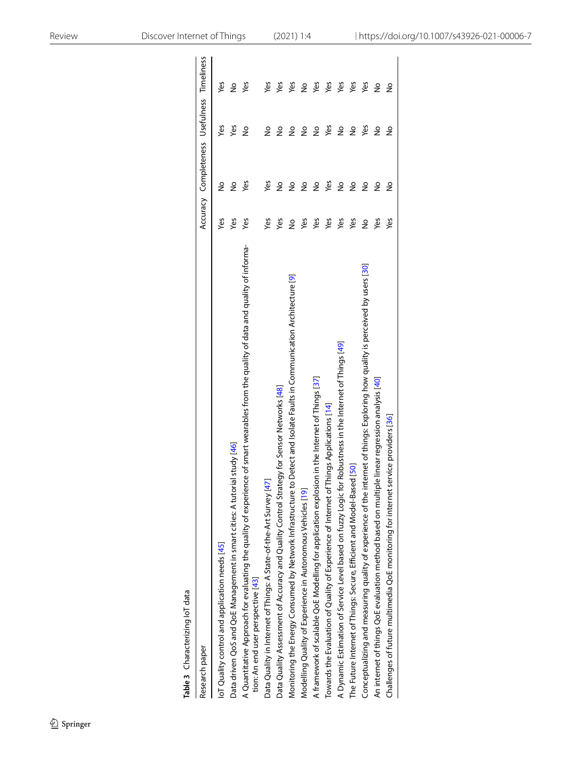<span id="page-9-0"></span>

| Table 3 Characterizing loT data                                                                                                                                            |               |                                             |               |     |
|----------------------------------------------------------------------------------------------------------------------------------------------------------------------------|---------------|---------------------------------------------|---------------|-----|
| Research paper                                                                                                                                                             |               | Accuracy Completeness Usefulness Timeliness |               |     |
| IoT Quality control and application needs [45]                                                                                                                             | š             | $\frac{1}{2}$                               | yes           | Yes |
| Data driven QoS and QoE Management in smart cities: A tutorial study [46]                                                                                                  | yes           | $\frac{1}{2}$                               | yes           | ş   |
| A Quantitative Approach for evaluating the quality of experience of smart wearables from the quality of data and quality of informa-<br>tion: An end user perspective [43] | Yes           | yes                                         | $\frac{1}{2}$ | yes |
| Data Quality in Internet of Things: A State-of-the-Art Survey [47]                                                                                                         | Yes           | yes                                         | å             | Yes |
| Data Quality Assessment of Accuracy and Quality Control Strategy for Sensor Networks [48]                                                                                  | Yes           | ş                                           | $\frac{1}{2}$ | yes |
| Monitoring the Energy Consumed by Network Infrastructure to Detect and Isolate Faults in Communication Architecture [9]                                                    | $\frac{1}{2}$ | ş                                           | $\frac{1}{2}$ | Yes |
| Modelling Quality of Experience in Autonomous Vehicles [19]                                                                                                                | Yes           | ş                                           | å             | ş   |
| A framework of scalable QoE Modelling for application explosion in the Internet of Things [37]                                                                             | Yes           | ş                                           | ş             | Yes |
| Towards the Evaluation of Quality of Experience of Internet of Things Applications [14]                                                                                    | Yes           | Yes                                         | Yes           | Yes |
| A Dynamic Estimation of Service Level based on fuzzy Logic for Robustness in the Internet of Things [49]                                                                   | Yes           | $\frac{1}{2}$                               | $\frac{1}{2}$ | Yes |
| The Future Internet of Things: Secure, Efficient and Model-Based [50]                                                                                                      | Yes           | ş                                           | $\frac{1}{2}$ | Yes |
| Conceptualizing and measuring quality of experience of the internet of things: Exploring how quality is perceived by users [30]                                            | ş             | $\frac{1}{2}$                               | Yes           | Yes |
| An internet of things QoE evaluation method based on multiple linear regression analysis [40]                                                                              | Yes           | ş                                           | ş             | ş   |
| service providers [36]<br>Challenges of future multimedia QoE monitoring for internet                                                                                      | Yes           | å                                           | ş             | å   |
|                                                                                                                                                                            |               |                                             |               |     |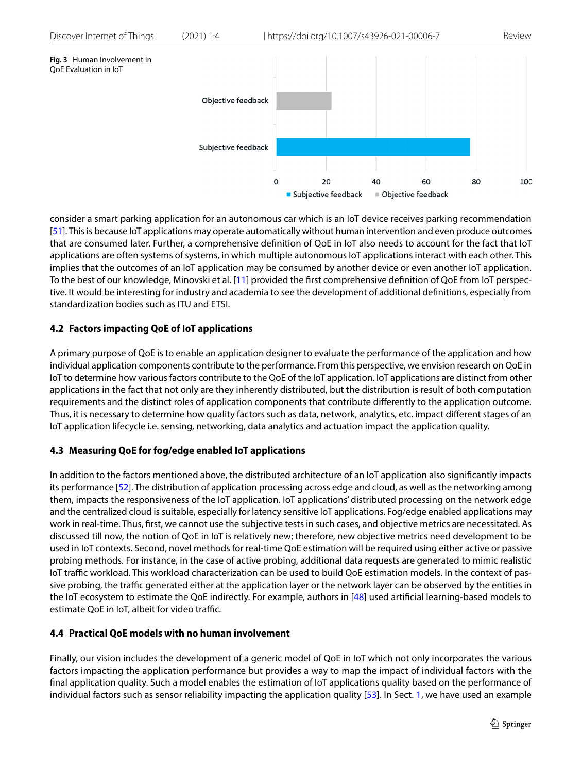<span id="page-10-0"></span>

consider a smart parking application for an autonomous car which is an IoT device receives parking recommendation [[51\]](#page-13-17). This is because IoT applications may operate automatically without human intervention and even produce outcomes that are consumed later. Further, a comprehensive defnition of QoE in IoT also needs to account for the fact that IoT applications are often systems of systems, in which multiple autonomous IoT applications interact with each other. This implies that the outcomes of an IoT application may be consumed by another device or even another IoT application. To the best of our knowledge, Minovski et al. [[11](#page-12-10)] provided the frst comprehensive defnition of QoE from IoT perspective. It would be interesting for industry and academia to see the development of additional defnitions, especially from standardization bodies such as ITU and ETSI.

# **4.2 Factors impacting QoE of IoT applications**

A primary purpose of QoE is to enable an application designer to evaluate the performance of the application and how individual application components contribute to the performance. From this perspective, we envision research on QoE in IoT to determine how various factors contribute to the QoE of the IoT application. IoT applications are distinct from other applications in the fact that not only are they inherently distributed, but the distribution is result of both computation requirements and the distinct roles of application components that contribute diferently to the application outcome. Thus, it is necessary to determine how quality factors such as data, network, analytics, etc. impact diferent stages of an IoT application lifecycle i.e. sensing, networking, data analytics and actuation impact the application quality.

# **4.3 Measuring QoE for fog/edge enabled IoT applications**

In addition to the factors mentioned above, the distributed architecture of an IoT application also signifcantly impacts its performance [\[52\]](#page-13-18). The distribution of application processing across edge and cloud, as well as the networking among them, impacts the responsiveness of the IoT application. IoT applications' distributed processing on the network edge and the centralized cloud is suitable, especially for latency sensitive IoT applications. Fog/edge enabled applications may work in real-time. Thus, frst, we cannot use the subjective tests in such cases, and objective metrics are necessitated. As discussed till now, the notion of QoE in IoT is relatively new; therefore, new objective metrics need development to be used in IoT contexts. Second, novel methods for real-time QoE estimation will be required using either active or passive probing methods. For instance, in the case of active probing, additional data requests are generated to mimic realistic IoT traffic workload. This workload characterization can be used to build QoE estimation models. In the context of passive probing, the traffic generated either at the application layer or the network layer can be observed by the entities in the IoT ecosystem to estimate the QoE indirectly. For example, authors in [\[48\]](#page-13-14) used artifcial learning-based models to estimate QoE in IoT, albeit for video traffic.

## **4.4 Practical QoE models with no human involvement**

Finally, our vision includes the development of a generic model of QoE in IoT which not only incorporates the various factors impacting the application performance but provides a way to map the impact of individual factors with the fnal application quality. Such a model enables the estimation of IoT applications quality based on the performance of individual factors such as sensor reliability impacting the application quality [[53\]](#page-13-19). In Sect. [1](#page-0-0), we have used an example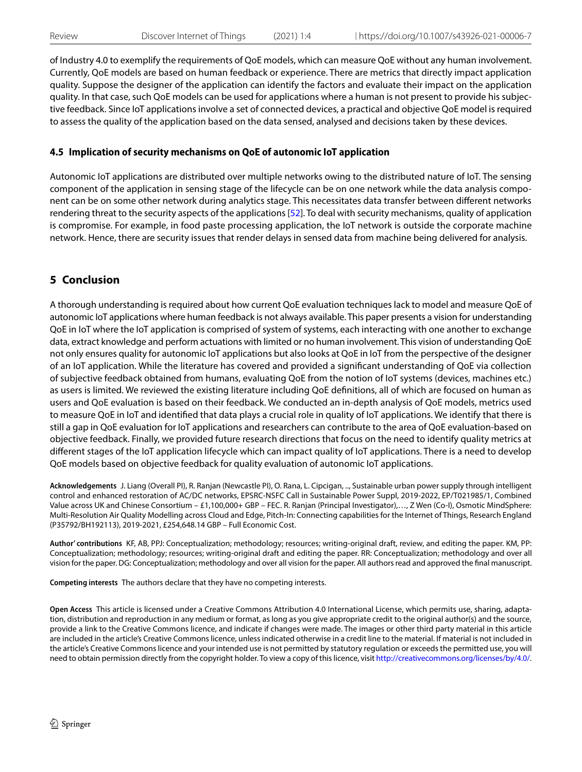of Industry 4.0 to exemplify the requirements of QoE models, which can measure QoE without any human involvement. Currently, QoE models are based on human feedback or experience. There are metrics that directly impact application quality. Suppose the designer of the application can identify the factors and evaluate their impact on the application quality. In that case, such QoE models can be used for applications where a human is not present to provide his subjective feedback. Since IoT applications involve a set of connected devices, a practical and objective QoE model is required to assess the quality of the application based on the data sensed, analysed and decisions taken by these devices.

# **4.5 Implication of security mechanisms on QoE of autonomic IoT application**

Autonomic IoT applications are distributed over multiple networks owing to the distributed nature of IoT. The sensing component of the application in sensing stage of the lifecycle can be on one network while the data analysis component can be on some other network during analytics stage. This necessitates data transfer between diferent networks rendering threat to the security aspects of the applications [\[52](#page-13-18)]. To deal with security mechanisms, quality of application is compromise. For example, in food paste processing application, the IoT network is outside the corporate machine network. Hence, there are security issues that render delays in sensed data from machine being delivered for analysis.

# <span id="page-11-0"></span>**5 Conclusion**

A thorough understanding is required about how current QoE evaluation techniques lack to model and measure QoE of autonomic IoT applications where human feedback is not always available. This paper presents a vision for understanding QoE in IoT where the IoT application is comprised of system of systems, each interacting with one another to exchange data, extract knowledge and perform actuations with limited or no human involvement. This vision of understanding QoE not only ensures quality for autonomic IoT applications but also looks at QoE in IoT from the perspective of the designer of an IoT application. While the literature has covered and provided a signifcant understanding of QoE via collection of subjective feedback obtained from humans, evaluating QoE from the notion of IoT systems (devices, machines etc.) as users is limited. We reviewed the existing literature including QoE defnitions, all of which are focused on human as users and QoE evaluation is based on their feedback. We conducted an in-depth analysis of QoE models, metrics used to measure QoE in IoT and identifed that data plays a crucial role in quality of IoT applications. We identify that there is still a gap in QoE evaluation for IoT applications and researchers can contribute to the area of QoE evaluation-based on objective feedback. Finally, we provided future research directions that focus on the need to identify quality metrics at diferent stages of the IoT application lifecycle which can impact quality of IoT applications. There is a need to develop QoE models based on objective feedback for quality evaluation of autonomic IoT applications.

**Acknowledgements** J. Liang (Overall PI), R. Ranjan (Newcastle PI), O. Rana, L. Cipcigan, .., Sustainable urban power supply through intelligent control and enhanced restoration of AC/DC networks, EPSRC-NSFC Call in Sustainable Power Suppl, 2019-2022, EP/T021985/1, Combined Value across UK and Chinese Consortium – £1,100,000+ GBP – FEC. R. Ranjan (Principal Investigator),…, Z Wen (Co-I), Osmotic MindSphere: Multi-Resolution Air Quality Modelling across Cloud and Edge, Pitch-In: Connecting capabilities for the Internet of Things, Research England (P35792/BH192113), 2019-2021, £254,648.14 GBP – Full Economic Cost.

**Author' contributions** KF, AB, PPJ: Conceptualization; methodology; resources; writing-original draft, review, and editing the paper. KM, PP: Conceptualization; methodology; resources; writing-original draft and editing the paper. RR: Conceptualization; methodology and over all vision for the paper. DG: Conceptualization; methodology and over all vision for the paper. All authors read and approved the fnal manuscript.

**Competing interests** The authors declare that they have no competing interests.

**Open Access** This article is licensed under a Creative Commons Attribution 4.0 International License, which permits use, sharing, adaptation, distribution and reproduction in any medium or format, as long as you give appropriate credit to the original author(s) and the source, provide a link to the Creative Commons licence, and indicate if changes were made. The images or other third party material in this article are included in the article's Creative Commons licence, unless indicated otherwise in a credit line to the material. If material is not included in the article's Creative Commons licence and your intended use is not permitted by statutory regulation or exceeds the permitted use, you will need to obtain permission directly from the copyright holder. To view a copy of this licence, visit<http://creativecommons.org/licenses/by/4.0/>.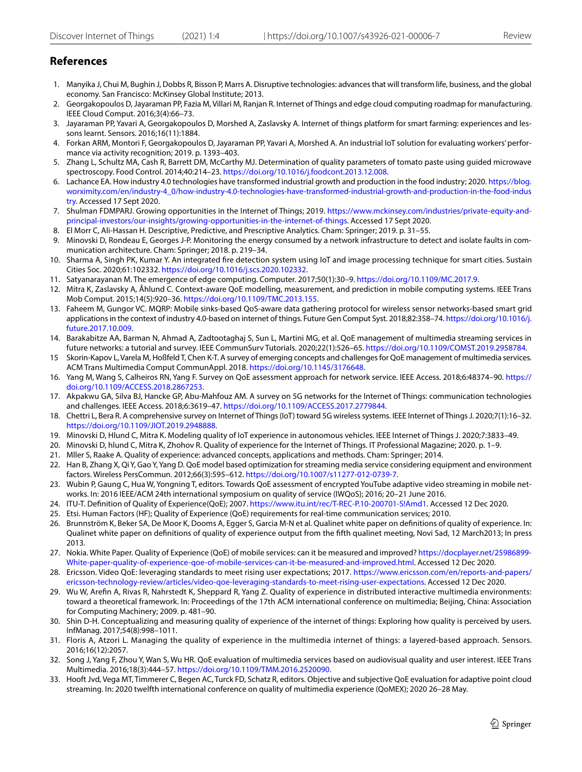# **References**

- <span id="page-12-0"></span>1. Manyika J, Chui M, Bughin J, Dobbs R, Bisson P, Marrs A. Disruptive technologies: advances that will transform life, business, and the global economy. San Francisco: McKinsey Global Institute; 2013.
- <span id="page-12-1"></span>2. Georgakopoulos D, Jayaraman PP, Fazia M, Villari M, Ranjan R. Internet of Things and edge cloud computing roadmap for manufacturing. IEEE Cloud Comput. 2016;3(4):66–73.
- <span id="page-12-2"></span>3. Jayaraman PP, Yavari A, Georgakopoulos D, Morshed A, Zaslavsky A. Internet of things platform for smart farming: experiences and lessons learnt. Sensors. 2016;16(11):1884.
- <span id="page-12-3"></span>4. Forkan ARM, Montori F, Georgakopoulos D, Jayaraman PP, Yavari A, Morshed A. An industrial IoT solution for evaluating workers' performance via activity recognition; 2019. p. 1393–403.
- <span id="page-12-4"></span>5. Zhang L, Schultz MA, Cash R, Barrett DM, McCarthy MJ. Determination of quality parameters of tomato paste using guided microwave spectroscopy. Food Control. 2014;40:214–23. <https://doi.org/10.1016/j.foodcont.2013.12.008>.
- <span id="page-12-5"></span>6. Lachance EA. How industry 4.0 technologies have transformed industrial growth and production in the food industry; 2020. [https://blog.](https://blog.worximity.com/en/industry-4_0/how-industry-4.0-technologies-have-transformed-industrial-growth-and-production-in-the-food-industry) [worximity.com/en/industry-4\\_0/how-industry-4.0-technologies-have-transformed-industrial-growth-and-production-in-the-food-indus](https://blog.worximity.com/en/industry-4_0/how-industry-4.0-technologies-have-transformed-industrial-growth-and-production-in-the-food-industry) [try.](https://blog.worximity.com/en/industry-4_0/how-industry-4.0-technologies-have-transformed-industrial-growth-and-production-in-the-food-industry) Accessed 17 Sept 2020.
- <span id="page-12-6"></span>7. Shulman FDMPARJ. Growing opportunities in the Internet of Things; 2019. [https://www.mckinsey.com/industries/private-equity-and](https://www.mckinsey.com/industries/private-equity-and-principal-investors/our-insights/growing-opportunities-in-the-internet-of-things)[principal-investors/our-insights/growing-opportunities-in-the-internet-of-things](https://www.mckinsey.com/industries/private-equity-and-principal-investors/our-insights/growing-opportunities-in-the-internet-of-things). Accessed 17 Sept 2020.
- <span id="page-12-7"></span>8. El Morr C, Ali-Hassan H. Descriptive, Predictive, and Prescriptive Analytics. Cham: Springer; 2019. p. 31–55.
- <span id="page-12-8"></span>9. Minovski D, Rondeau E, Georges J-P. Monitoring the energy consumed by a network infrastructure to detect and isolate faults in communication architecture. Cham: Springer; 2018. p. 219–34.
- <span id="page-12-9"></span>10. Sharma A, Singh PK, Kumar Y. An integrated fre detection system using IoT and image processing technique for smart cities. Sustain Cities Soc. 2020;61:102332.<https://doi.org/10.1016/j.scs.2020.102332>.
- <span id="page-12-10"></span>11. Satyanarayanan M. The emergence of edge computing. Computer. 2017;50(1):30–9. [https://doi.org/10.1109/MC.2017.9.](https://doi.org/10.1109/MC.2017.9)
- <span id="page-12-11"></span>12. Mitra K, Zaslavsky A, Åhlund C. Context-aware QoE modelling, measurement, and prediction in mobile computing systems. IEEE Trans Mob Comput. 2015;14(5):920–36. [https://doi.org/10.1109/TMC.2013.155.](https://doi.org/10.1109/TMC.2013.155)
- <span id="page-12-12"></span>13. Faheem M, Gungor VC. MQRP: Mobile sinks-based QoS-aware data gathering protocol for wireless sensor networks-based smart grid applications in the context of industry 4.0-based on internet of things. Future Gen Comput Syst. 2018;82:358–74. [https://doi.org/10.1016/j.](https://doi.org/10.1016/j.future.2017.10.009) [future.2017.10.009.](https://doi.org/10.1016/j.future.2017.10.009)
- <span id="page-12-13"></span>14. Barakabitze AA, Barman N, Ahmad A, Zadtootaghaj S, Sun L, Martini MG, et al. QoE management of multimedia streaming services in future networks: a tutorial and survey. IEEE CommunSurv Tutorials. 2020;22(1):526–65. <https://doi.org/10.1109/COMST.2019.2958784>.
- <span id="page-12-14"></span>15 Skorin-Kapov L, Varela M, Hoßfeld T, Chen K-T. A survey of emerging concepts and challenges for QoE management of multimedia services. ACM Trans Multimedia Comput CommunAppl. 2018. <https://doi.org/10.1145/3176648>.
- <span id="page-12-15"></span>16. Yang M, Wang S, Calheiros RN, Yang F. Survey on QoE assessment approach for network service. IEEE Access. 2018;6:48374–90. [https://](https://doi.org/10.1109/ACCESS.2018.2867253) [doi.org/10.1109/ACCESS.2018.2867253](https://doi.org/10.1109/ACCESS.2018.2867253).
- 17. Akpakwu GA, Silva BJ, Hancke GP, Abu-Mahfouz AM. A survey on 5G networks for the Internet of Things: communication technologies and challenges. IEEE Access. 2018;6:3619–47. <https://doi.org/10.1109/ACCESS.2017.2779844>.
- <span id="page-12-16"></span>18. Chettri L, Bera R. A comprehensive survey on Internet of Things (IoT) toward 5G wireless systems. IEEE Internet of Things J. 2020;7(1):16–32. [https://doi.org/10.1109/JIOT.2019.2948888.](https://doi.org/10.1109/JIOT.2019.2948888)
- <span id="page-12-17"></span>19. Minovski D, Hlund C, Mitra K. Modeling quality of IoT experience in autonomous vehicles. IEEE Internet of Things J. 2020;7:3833–49.
- <span id="page-12-18"></span>20. Minovski D, hlund C, Mitra K, Zhohov R. Quality of experience for the Internet of Things. IT Professional Magazine; 2020. p. 1–9.
- <span id="page-12-19"></span>21. Mller S, Raake A. Quality of experience: advanced concepts, applications and methods. Cham: Springer; 2014.
- <span id="page-12-20"></span>22. Han B, Zhang X, Qi Y, Gao Y, Yang D. QoE model based optimization for streaming media service considering equipment and environment factors. Wireless PersCommun. 2012;66(3):595–612. <https://doi.org/10.1007/s11277-012-0739-7>.
- <span id="page-12-21"></span>23. Wubin P, Gaung C, Hua W, Yongning T, editors. Towards QoE assessment of encrypted YouTube adaptive video streaming in mobile networks. In: 2016 IEEE/ACM 24th international symposium on quality of service (IWQoS); 2016; 20–21 June 2016.
- <span id="page-12-23"></span>24. ITU-T. Defnition of Quality of Experience(QoE); 2007. [https://www.itu.int/rec/T-REC-P.10-200701-S!Amd1.](https://www.itu.int/rec/T-REC-P.10-200701-S!Amd1) Accessed 12 Dec 2020.
- <span id="page-12-24"></span>25. Etsi. Human Factors (HF); Quality of Experience (QoE) requirements for real-time communication services; 2010.
- <span id="page-12-25"></span>26. Brunnström K, Beker SA, De Moor K, Dooms A, Egger S, Garcia M-N et al. Qualinet white paper on defnitions of quality of experience. In: Qualinet white paper on defnitions of quality of experience output from the ffth qualinet meeting, Novi Sad, 12 March2013; In press 2013.
- <span id="page-12-26"></span>27. Nokia. White Paper. Quality of Experience (QoE) of mobile services: can it be measured and improved? [https://docplayer.net/25986899-](https://docplayer.net/25986899-White-paper-quality-of-experience-qoe-of-mobile-services-can-it-be-measured-and-improved.html) [White-paper-quality-of-experience-qoe-of-mobile-services-can-it-be-measured-and-improved.html.](https://docplayer.net/25986899-White-paper-quality-of-experience-qoe-of-mobile-services-can-it-be-measured-and-improved.html) Accessed 12 Dec 2020.
- <span id="page-12-27"></span>28. Ericsson. Video QoE: leveraging standards to meet rising user expectations; 2017. [https://www.ericsson.com/en/reports-and-papers/](https://www.ericsson.com/en/reports-and-papers/ericsson-technology-review/articles/video-qoe-leveraging-standards-to-meet-rising-user-expectations) [ericsson-technology-review/articles/video-qoe-leveraging-standards-to-meet-rising-user-expectations](https://www.ericsson.com/en/reports-and-papers/ericsson-technology-review/articles/video-qoe-leveraging-standards-to-meet-rising-user-expectations). Accessed 12 Dec 2020.
- <span id="page-12-28"></span>29. Wu W, Arefn A, Rivas R, Nahrstedt K, Sheppard R, Yang Z. Quality of experience in distributed interactive multimedia environments: toward a theoretical framework. In: Proceedings of the 17th ACM international conference on multimedia; Beijing, China: Association for Computing Machinery; 2009. p. 481–90.
- <span id="page-12-22"></span>30. Shin D-H. Conceptualizing and measuring quality of experience of the internet of things: Exploring how quality is perceived by users. InfManag. 2017;54(8):998–1011.
- <span id="page-12-29"></span>31. Floris A, Atzori L. Managing the quality of experience in the multimedia internet of things: a layered-based approach. Sensors. 2016;16(12):2057.
- <span id="page-12-30"></span>32. Song J, Yang F, Zhou Y, Wan S, Wu HR. QoE evaluation of multimedia services based on audiovisual quality and user interest. IEEE Trans Multimedia. 2016;18(3):444–57. [https://doi.org/10.1109/TMM.2016.2520090.](https://doi.org/10.1109/TMM.2016.2520090)
- <span id="page-12-31"></span>33. Hooft Jvd, Vega MT, Timmerer C, Begen AC, Turck FD, Schatz R, editors. Objective and subjective QoE evaluation for adaptive point cloud streaming. In: 2020 twelfth international conference on quality of multimedia experience (QoMEX); 2020 26–28 May.